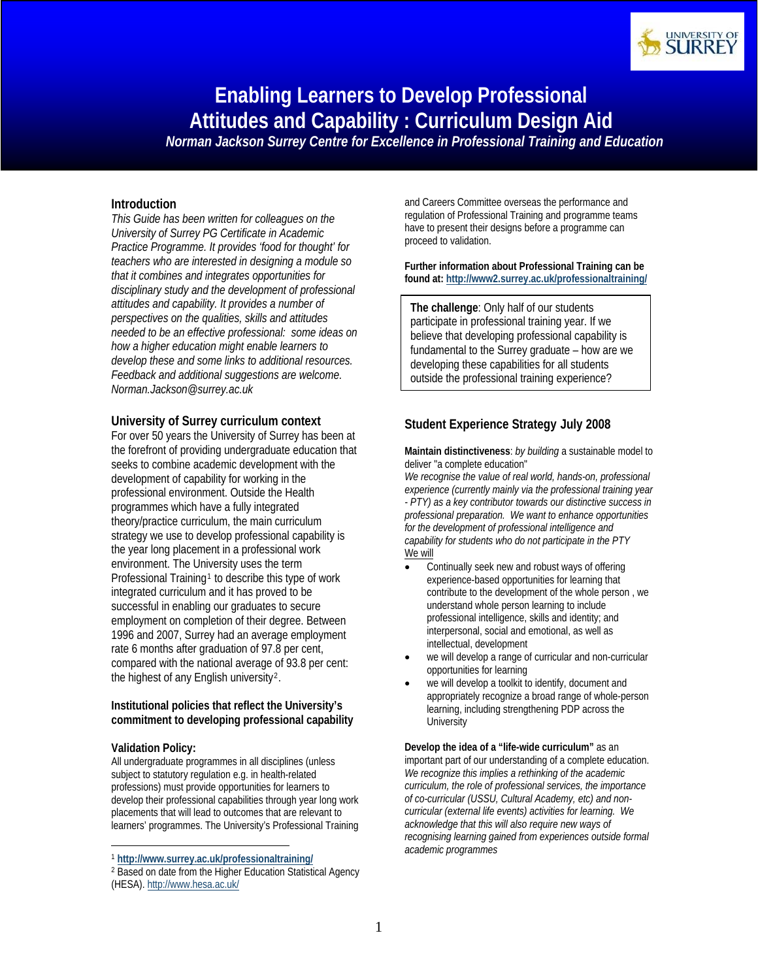

# **Enabling Learners to Develop Professional Attitudes and Capability : Curriculum Design Aid**

 *Norman Jackson Surrey Centre for Excellence in Professional Training and Education* 

#### **Introduction**

*This Guide has been written for colleagues on the University of Surrey PG Certificate in Academic Practice Programme. It provides 'food for thought' for teachers who are interested in designing a module so that it combines and integrates opportunities for disciplinary study and the development of professional attitudes and capability. It provides a number of perspectives on the qualities, skills and attitudes needed to be an effective professional: some ideas on how a higher education might enable learners to develop these and some links to additional resources. Feedback and additional suggestions are welcome. Norman.Jackson@surrey.ac.uk* 

#### **University of Surrey curriculum context**

For over 50 years the University of Surrey has been at the forefront of providing undergraduate education that seeks to combine academic development with the development of capability for working in the professional environment. Outside the Health programmes which have a fully integrated theory/practice curriculum, the main curriculum strategy we use to develop professional capability is the year long placement in a professional work environment. The University uses the term Professional Training<sup>[1](#page-0-0)</sup> to describe this type of work integrated curriculum and it has proved to be successful in enabling our graduates to secure employment on completion of their degree. Between 1996 and 2007, Surrey had an average employment rate 6 months after graduation of 97.8 per cent, compared with the national average of 93.8 per cent: the highest of any English university[2](#page-0-1).

#### **Institutional policies that reflect the University's commitment to developing professional capability**

#### **Validation Policy:**

 $\overline{a}$ 

All undergraduate programmes in all disciplines (unless subject to statutory regulation e.g. in health-related professions) must provide opportunities for learners to develop their professional capabilities through year long work placements that will lead to outcomes that are relevant to learners' programmes. The University's Professional Training

and Careers Committee overseas the performance and regulation of Professional Training and programme teams have to present their designs before a programme can proceed to validation.

**Further information about Professional Training can be found at: <http://www2.surrey.ac.uk/professionaltraining/>**

**The challenge**: Only half of our students participate in professional training year. If we believe that developing professional capability is fundamental to the Surrey graduate – how are we developing these capabilities for all students outside the professional training experience?

#### **Student Experience Strategy July 2008**

**Maintain distinctiveness**: *by building* a sustainable model to deliver "a complete education"

*We recognise the value of real world, hands-on, professional experience (currently mainly via the professional training year - PTY) as a key contributor towards our distinctive success in professional preparation. We want to enhance opportunities for the development of professional intelligence and capability for students who do not participate in the PTY* We will

- Continually seek new and robust ways of offering experience-based opportunities for learning that contribute to the development of the whole person , we understand whole person learning to include professional intelligence, skills and identity; and interpersonal, social and emotional, as well as intellectual, development
- we will develop a range of curricular and non-curricular opportunities for learning
- we will develop a toolkit to identify, document and appropriately recognize a broad range of whole-person learning, including strengthening PDP across the **University**

**Develop the idea of a "life-wide curriculum"** as an important part of our understanding of a complete education. *We recognize this implies a rethinking of the academic curriculum, the role of professional services, the importance of co-curricular (USSU, Cultural Academy, etc) and noncurricular (external life events) activities for learning. We acknowledge that this will also require new ways of recognising learning gained from experiences outside formal academic programmes*

<sup>1</sup> **<http://www.surrey.ac.uk/professionaltraining/>**

<span id="page-0-1"></span><span id="page-0-0"></span><sup>2</sup> Based on date from the Higher Education Statistical Agency (HESA).<http://www.hesa.ac.uk/>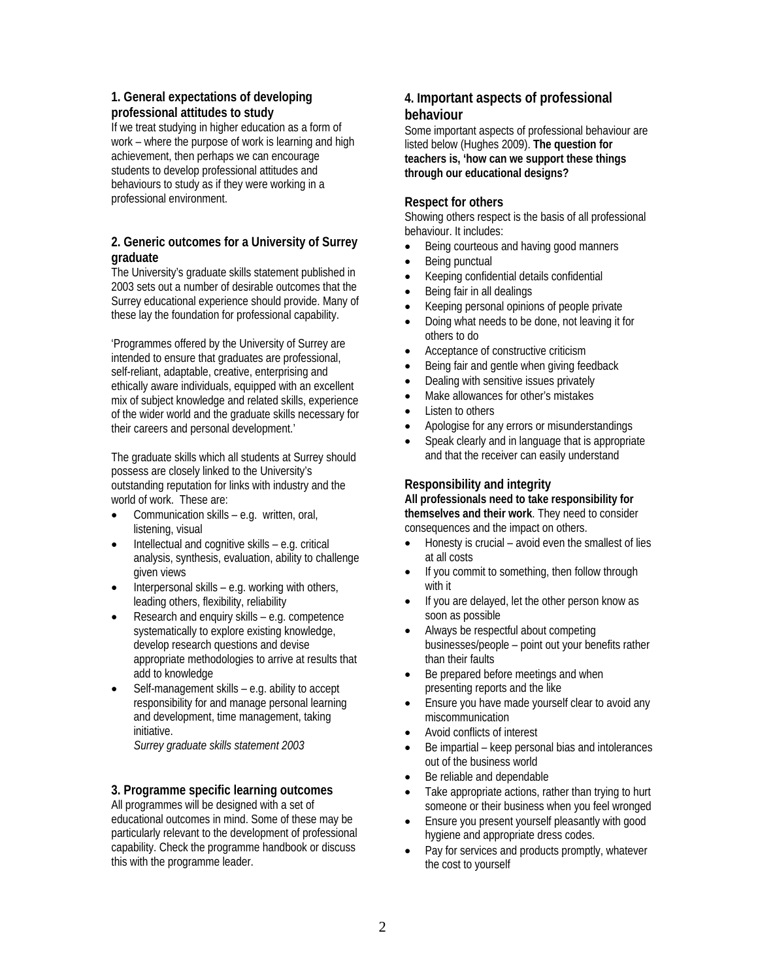#### **1. General expectations of developing professional attitudes to study**

If we treat studying in higher education as a form of work – where the purpose of work is learning and high achievement, then perhaps we can encourage students to develop professional attitudes and behaviours to study as if they were working in a professional environment.

# **2. Generic outcomes for a University of Surrey graduate**

The University's graduate skills statement published in 2003 sets out a number of desirable outcomes that the Surrey educational experience should provide. Many of these lay the foundation for professional capability.

'Programmes offered by the University of Surrey are intended to ensure that graduates are professional, self-reliant, adaptable, creative, enterprising and ethically aware individuals, equipped with an excellent mix of subject knowledge and related skills, experience of the wider world and the graduate skills necessary for their careers and personal development.'

The graduate skills which all students at Surrey should possess are closely linked to the University's outstanding reputation for links with industry and the world of work. These are:

- Communication skills e.g. written, oral, listening, visual
- Intellectual and cognitive skills e.g. critical analysis, synthesis, evaluation, ability to challenge given views
- Interpersonal skills  $-$  e.g. working with others, leading others, flexibility, reliability
- Research and enquiry skills e.g. competence systematically to explore existing knowledge, develop research questions and devise appropriate methodologies to arrive at results that add to knowledge
- Self-management skills e.g. ability to accept responsibility for and manage personal learning and development, time management, taking initiative.

*Surrey graduate skills statement 2003* 

# **3. Programme specific learning outcomes**

All programmes will be designed with a set of educational outcomes in mind. Some of these may be particularly relevant to the development of professional capability. Check the programme handbook or discuss this with the programme leader.

# **4. Important aspects of professional behaviour**

Some important aspects of professional behaviour are listed below (Hughes 2009). **The question for teachers is, 'how can we support these things through our educational designs?** 

#### **Respect for others**

Showing others respect is the basis of all professional behaviour. It includes:

- Being courteous and having good manners
- Being punctual
- Keeping confidential details confidential
- Being fair in all dealings
- Keeping personal opinions of people private
- Doing what needs to be done, not leaving it for others to do
- Acceptance of constructive criticism
- Being fair and gentle when giving feedback
- Dealing with sensitive issues privately
- Make allowances for other's mistakes
- Listen to others
- Apologise for any errors or misunderstandings
- Speak clearly and in language that is appropriate and that the receiver can easily understand

# **Responsibility and integrity**

**All professionals need to take responsibility for themselves and their work**. They need to consider consequences and the impact on others.

- Honesty is crucial avoid even the smallest of lies at all costs
- If you commit to something, then follow through with it
- If you are delayed, let the other person know as soon as possible
- Always be respectful about competing businesses/people – point out your benefits rather than their faults
- Be prepared before meetings and when presenting reports and the like
- Ensure you have made yourself clear to avoid any miscommunication
- Avoid conflicts of interest
- Be impartial keep personal bias and intolerances out of the business world
- Be reliable and dependable
- Take appropriate actions, rather than trying to hurt someone or their business when you feel wronged
- Ensure you present yourself pleasantly with good hygiene and appropriate dress codes.
- Pay for services and products promptly, whatever the cost to yourself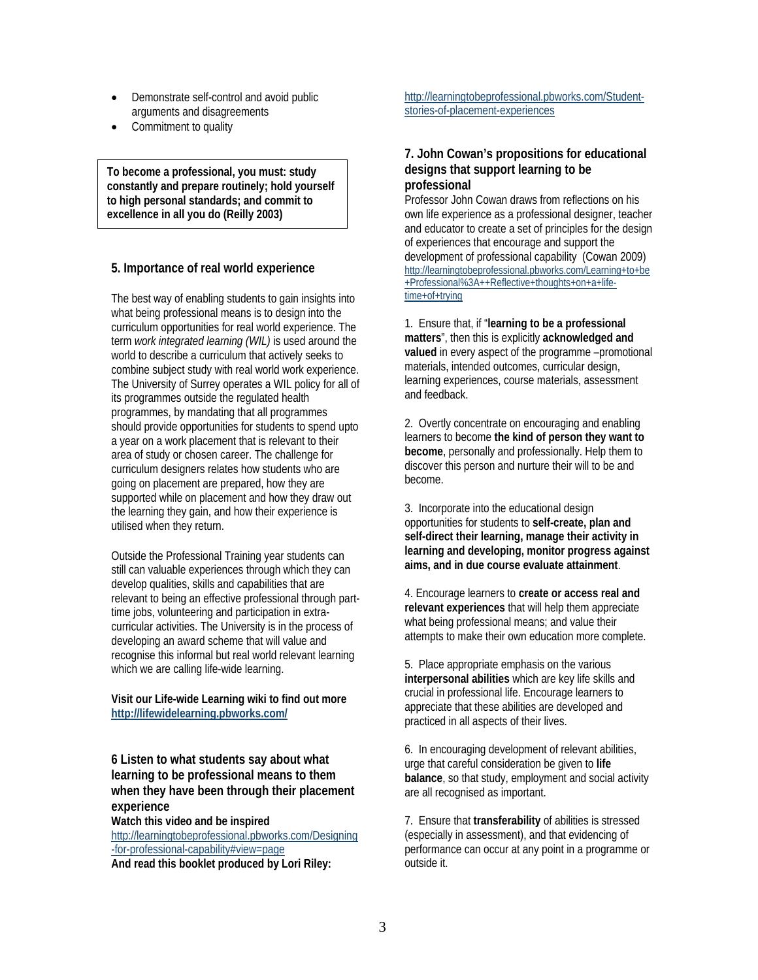- Demonstrate self-control and avoid public arguments and disagreements
- Commitment to quality

**To become a professional, you must: study constantly and prepare routinely; hold yourself to high personal standards; and commit to excellence in all you do (Reilly 2003)** 

# **5. Importance of real world experience**

The best way of enabling students to gain insights into what being professional means is to design into the curriculum opportunities for real world experience. The term *work integrated learning (WIL)* is used around the world to describe a curriculum that actively seeks to combine subject study with real world work experience. The University of Surrey operates a WIL policy for all of its programmes outside the regulated health programmes, by mandating that all programmes should provide opportunities for students to spend upto a year on a work placement that is relevant to their area of study or chosen career. The challenge for curriculum designers relates how students who are going on placement are prepared, how they are supported while on placement and how they draw out the learning they gain, and how their experience is utilised when they return.

Outside the Professional Training year students can still can valuable experiences through which they can develop qualities, skills and capabilities that are relevant to being an effective professional through parttime jobs, volunteering and participation in extracurricular activities. The University is in the process of developing an award scheme that will value and recognise this informal but real world relevant learning which we are calling life-wide learning.

**Visit our Life-wide Learning wiki to find out more <http://lifewidelearning.pbworks.com/>**

**6 Listen to what students say about what learning to be professional means to them when they have been through their placement experience** 

**Watch this video and be inspired**  [http://learningtobeprofessional.pbworks.com/Designing](http://learningtobeprofessional.pbworks.com/Designing-for-professional-capability#view=page) [-for-professional-capability#view=page](http://learningtobeprofessional.pbworks.com/Designing-for-professional-capability#view=page) **And read this booklet produced by Lori Riley:** 

[http://learningtobeprofessional.pbworks.com/Student](http://learningtobeprofessional.pbworks.com/Student-stories-of-placement-experiences)[stories-of-placement-experiences](http://learningtobeprofessional.pbworks.com/Student-stories-of-placement-experiences)

#### **7. John Cowan's propositions for educational designs that support learning to be professional**

Professor John Cowan draws from reflections on his own life experience as a professional designer, teacher and educator to create a set of principles for the design of experiences that encourage and support the development of professional capability (Cowan 2009) [http://learningtobeprofessional.pbworks.com/Learning+to+be](http://learningtobeprofessional.pbworks.com/Learning+to+be+Professional%3A++Reflective+thoughts+on+a+life-time+of+trying) [+Professional%3A++Reflective+thoughts+on+a+life](http://learningtobeprofessional.pbworks.com/Learning+to+be+Professional%3A++Reflective+thoughts+on+a+life-time+of+trying)[time+of+trying](http://learningtobeprofessional.pbworks.com/Learning+to+be+Professional%3A++Reflective+thoughts+on+a+life-time+of+trying)

1. Ensure that, if "**learning to be a professional matters**", then this is explicitly **acknowledged and valued** in every aspect of the programme –promotional materials, intended outcomes, curricular design, learning experiences, course materials, assessment and feedback.

2. Overtly concentrate on encouraging and enabling learners to become **the kind of person they want to become**, personally and professionally. Help them to discover this person and nurture their will to be and become.

3. Incorporate into the educational design opportunities for students to **self-create, plan and self-direct their learning, manage their activity in learning and developing, monitor progress against aims, and in due course evaluate attainment**.

4. Encourage learners to **create or access real and relevant experiences** that will help them appreciate what being professional means; and value their attempts to make their own education more complete.

5. Place appropriate emphasis on the various **interpersonal abilities** which are key life skills and crucial in professional life. Encourage learners to appreciate that these abilities are developed and practiced in all aspects of their lives.

6. In encouraging development of relevant abilities, urge that careful consideration be given to **life balance**, so that study, employment and social activity are all recognised as important.

7. Ensure that **transferability** of abilities is stressed (especially in assessment), and that evidencing of performance can occur at any point in a programme or outside it.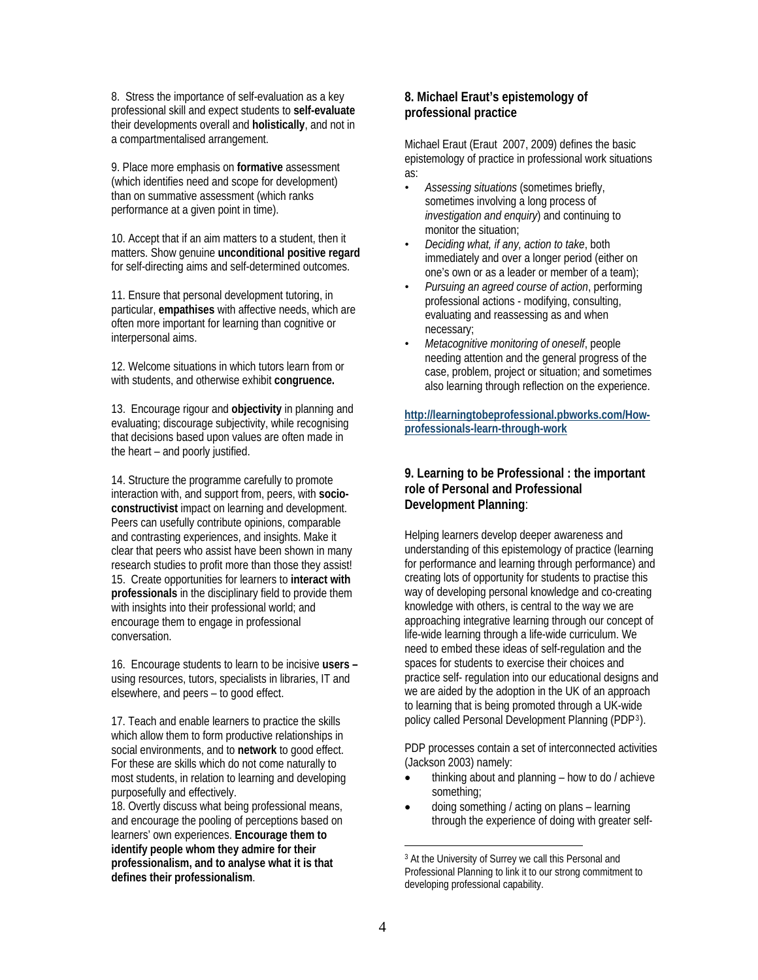8. Stress the importance of self-evaluation as a key professional skill and expect students to **self-evaluate**  their developments overall and **holistically**, and not in a compartmentalised arrangement.

9. Place more emphasis on **formative** assessment (which identifies need and scope for development) than on summative assessment (which ranks performance at a given point in time).

10. Accept that if an aim matters to a student, then it matters. Show genuine **unconditional positive regard**  for self-directing aims and self-determined outcomes.

11. Ensure that personal development tutoring, in particular, **empathises** with affective needs, which are often more important for learning than cognitive or interpersonal aims.

12. Welcome situations in which tutors learn from or with students, and otherwise exhibit **congruence.** 

13. Encourage rigour and **objectivity** in planning and evaluating; discourage subjectivity, while recognising that decisions based upon values are often made in the heart – and poorly justified.

14. Structure the programme carefully to promote interaction with, and support from, peers, with **socioconstructivist** impact on learning and development. Peers can usefully contribute opinions, comparable and contrasting experiences, and insights. Make it clear that peers who assist have been shown in many research studies to profit more than those they assist! 15. Create opportunities for learners to **interact with professionals** in the disciplinary field to provide them with insights into their professional world; and encourage them to engage in professional conversation.

16. Encourage students to learn to be incisive **users –**  using resources, tutors, specialists in libraries, IT and elsewhere, and peers – to good effect.

17. Teach and enable learners to practice the skills which allow them to form productive relationships in social environments, and to **network** to good effect. For these are skills which do not come naturally to most students, in relation to learning and developing purposefully and effectively.

<span id="page-3-0"></span>18. Overtly discuss what being professional means, and encourage the pooling of perceptions based on learners' own experiences. **Encourage them to identify people whom they admire for their professionalism, and to analyse what it is that defines their professionalism**.

#### **8. Michael Eraut's epistemology of professional practice**

Michael Eraut (Eraut 2007, 2009) defines the basic epistemology of practice in professional work situations as:

- *Assessing situations* (sometimes briefly, sometimes involving a long process of *investigation and enquiry*) and continuing to monitor the situation;
- *Deciding what, if any, action to take*, both immediately and over a longer period (either on one's own or as a leader or member of a team);
- *Pursuing an agreed course of action*, performing professional actions - modifying, consulting, evaluating and reassessing as and when necessary;
- *Metacognitive monitoring of oneself*, people needing attention and the general progress of the case, problem, project or situation; and sometimes also learning through reflection on the experience.

**[http://learningtobeprofessional.pbworks.com/How](http://learningtobeprofessional.pbworks.com/How-professionals-learn-through-work)[professionals-learn-through-work](http://learningtobeprofessional.pbworks.com/How-professionals-learn-through-work)**

#### **9. Learning to be Professional : the important role of Personal and Professional Development Planning**:

Helping learners develop deeper awareness and understanding of this epistemology of practice (learning for performance and learning through performance) and creating lots of opportunity for students to practise this way of developing personal knowledge and co-creating knowledge with others, is central to the way we are approaching integrative learning through our concept of life-wide learning through a life-wide curriculum. We need to embed these ideas of self-regulation and the spaces for students to exercise their choices and practice self- regulation into our educational designs and we are aided by the adoption in the UK of an approach to learning that is being promoted through a UK-wide policy called Personal Development Planning (PDP[3](#page-3-0)).

PDP processes contain a set of interconnected activities (Jackson 2003) namely:

- thinking about and planning how to do / achieve something;
- doing something / acting on plans learning through the experience of doing with greater self-

 $\overline{a}$ 

<sup>&</sup>lt;sup>3</sup> At the University of Surrey we call this Personal and Professional Planning to link it to our strong commitment to developing professional capability.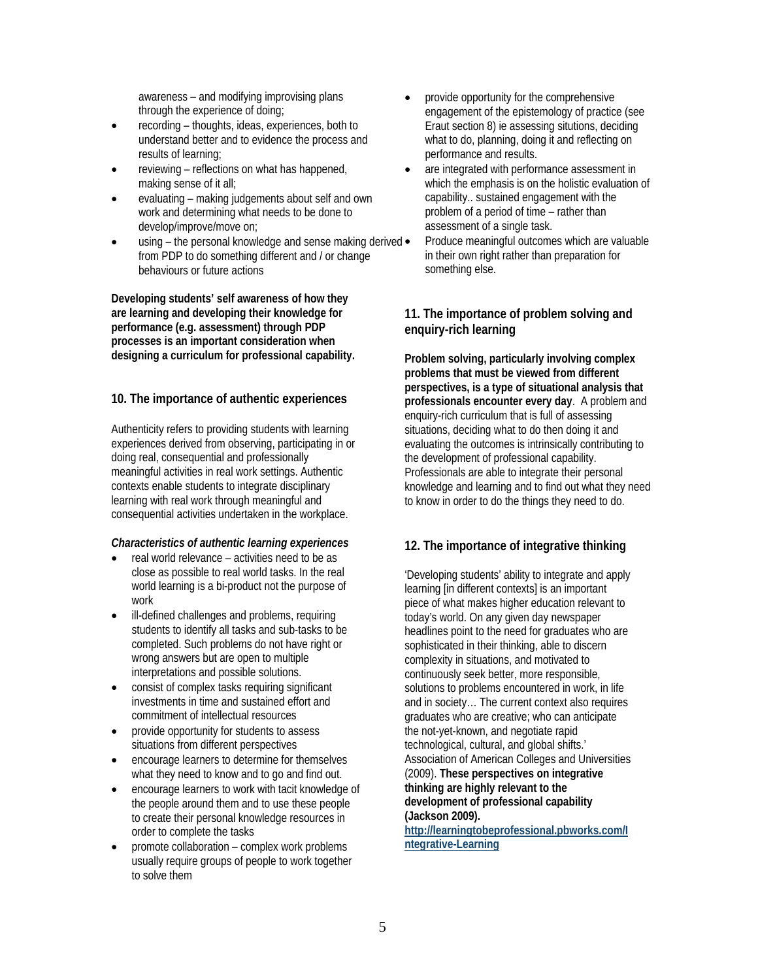awareness – and modifying improvising plans through the experience of doing;

- recording thoughts, ideas, experiences, both to understand better and to evidence the process and results of learning;
- reviewing reflections on what has happened, making sense of it all;
- evaluating making judgements about self and own work and determining what needs to be done to develop/improve/move on;
- using the personal knowledge and sense making derived  $\bullet$ from PDP to do something different and / or change behaviours or future actions

**Developing students' self awareness of how they are learning and developing their knowledge for performance (e.g. assessment) through PDP processes is an important consideration when designing a curriculum for professional capability.** 

# **10. The importance of authentic experiences**

Authenticity refers to providing students with learning experiences derived from observing, participating in or doing real, consequential and professionally meaningful activities in real work settings. Authentic contexts enable students to integrate disciplinary learning with real work through meaningful and consequential activities undertaken in the workplace.

#### *Characteristics of authentic learning experiences*

- real world relevance activities need to be as close as possible to real world tasks. In the real world learning is a bi-product not the purpose of work
- ill-defined challenges and problems, requiring students to identify all tasks and sub-tasks to be completed. Such problems do not have right or wrong answers but are open to multiple interpretations and possible solutions.
- consist of complex tasks requiring significant investments in time and sustained effort and commitment of intellectual resources
- provide opportunity for students to assess situations from different perspectives
- encourage learners to determine for themselves what they need to know and to go and find out.
- encourage learners to work with tacit knowledge of the people around them and to use these people to create their personal knowledge resources in order to complete the tasks
- promote collaboration complex work problems usually require groups of people to work together to solve them
- provide opportunity for the comprehensive engagement of the epistemology of practice (see Eraut section 8) ie assessing situtions, deciding what to do, planning, doing it and reflecting on performance and results.
- are integrated with performance assessment in which the emphasis is on the holistic evaluation of capability.. sustained engagement with the problem of a period of time – rather than assessment of a single task.
- Produce meaningful outcomes which are valuable in their own right rather than preparation for something else.

# **11. The importance of problem solving and enquiry-rich learning**

**Problem solving, particularly involving complex problems that must be viewed from different perspectives, is a type of situational analysis that professionals encounter every day**. A problem and enquiry-rich curriculum that is full of assessing situations, deciding what to do then doing it and evaluating the outcomes is intrinsically contributing to the development of professional capability. Professionals are able to integrate their personal knowledge and learning and to find out what they need to know in order to do the things they need to do.

# **12. The importance of integrative thinking**

'Developing students' ability to integrate and apply learning [in different contexts] is an important piece of what makes higher education relevant to today's world. On any given day newspaper headlines point to the need for graduates who are sophisticated in their thinking, able to discern complexity in situations, and motivated to continuously seek better, more responsible, solutions to problems encountered in work, in life and in society… The current context also requires graduates who are creative; who can anticipate the not-yet-known, and negotiate rapid technological, cultural, and global shifts.' Association of American Colleges and Universities (2009). **These perspectives on integrative thinking are highly relevant to the development of professional capability (Jackson 2009).** 

**[http://learningtobeprofessional.pbworks.com/I](http://learningtobeprofessional.pbworks.com/Integrative-Learning) [ntegrative-Learning](http://learningtobeprofessional.pbworks.com/Integrative-Learning)**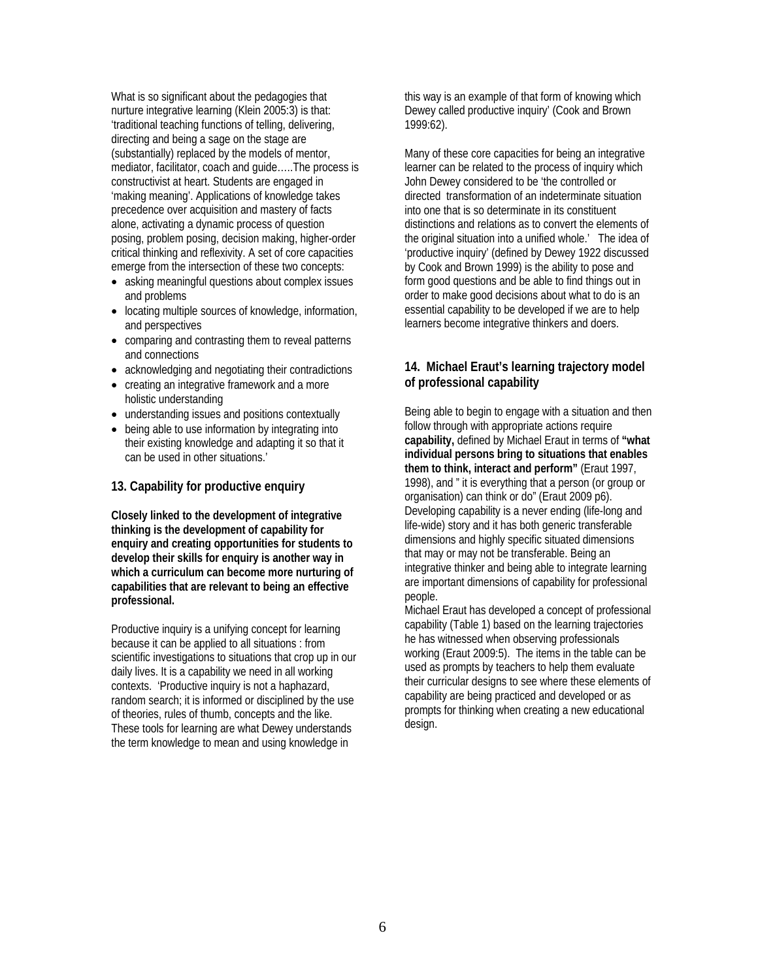What is so significant about the pedagogies that nurture integrative learning (Klein 2005:3) is that: 'traditional teaching functions of telling, delivering, directing and being a sage on the stage are (substantially) replaced by the models of mentor, mediator, facilitator, coach and guide…..The process is constructivist at heart. Students are engaged in 'making meaning'. Applications of knowledge takes precedence over acquisition and mastery of facts alone, activating a dynamic process of question posing, problem posing, decision making, higher-order critical thinking and reflexivity. A set of core capacities emerge from the intersection of these two concepts:

- asking meaningful questions about complex issues and problems
- locating multiple sources of knowledge, information, and perspectives
- comparing and contrasting them to reveal patterns and connections
- acknowledging and negotiating their contradictions
- creating an integrative framework and a more holistic understanding
- understanding issues and positions contextually
- being able to use information by integrating into their existing knowledge and adapting it so that it can be used in other situations.'

#### **13. Capability for productive enquiry**

**Closely linked to the development of integrative thinking is the development of capability for enquiry and creating opportunities for students to develop their skills for enquiry is another way in which a curriculum can become more nurturing of capabilities that are relevant to being an effective professional.** 

Productive inquiry is a unifying concept for learning because it can be applied to all situations : from scientific investigations to situations that crop up in our daily lives. It is a capability we need in all working contexts. 'Productive inquiry is not a haphazard, random search; it is informed or disciplined by the use of theories, rules of thumb, concepts and the like. These tools for learning are what Dewey understands the term knowledge to mean and using knowledge in

this way is an example of that form of knowing which Dewey called productive inquiry' (Cook and Brown 1999:62).

Many of these core capacities for being an integrative learner can be related to the process of inquiry which John Dewey considered to be 'the controlled or directed transformation of an indeterminate situation into one that is so determinate in its constituent distinctions and relations as to convert the elements of the original situation into a unified whole.' The idea of 'productive inquiry' (defined by Dewey 1922 discussed by Cook and Brown 1999) is the ability to pose and form good questions and be able to find things out in order to make good decisions about what to do is an essential capability to be developed if we are to help learners become integrative thinkers and doers.

#### **14. Michael Eraut's learning trajectory model of professional capability**

Being able to begin to engage with a situation and then follow through with appropriate actions require **capability,** defined by Michael Eraut in terms of **"what individual persons bring to situations that enables them to think, interact and perform"** (Eraut 1997, 1998), and " it is everything that a person (or group or organisation) can think or do" (Eraut 2009 p6). Developing capability is a never ending (life-long and life-wide) story and it has both generic transferable dimensions and highly specific situated dimensions that may or may not be transferable. Being an integrative thinker and being able to integrate learning are important dimensions of capability for professional people.

Michael Eraut has developed a concept of professional capability (Table 1) based on the learning trajectories he has witnessed when observing professionals working (Eraut 2009:5). The items in the table can be used as prompts by teachers to help them evaluate their curricular designs to see where these elements of capability are being practiced and developed or as prompts for thinking when creating a new educational design.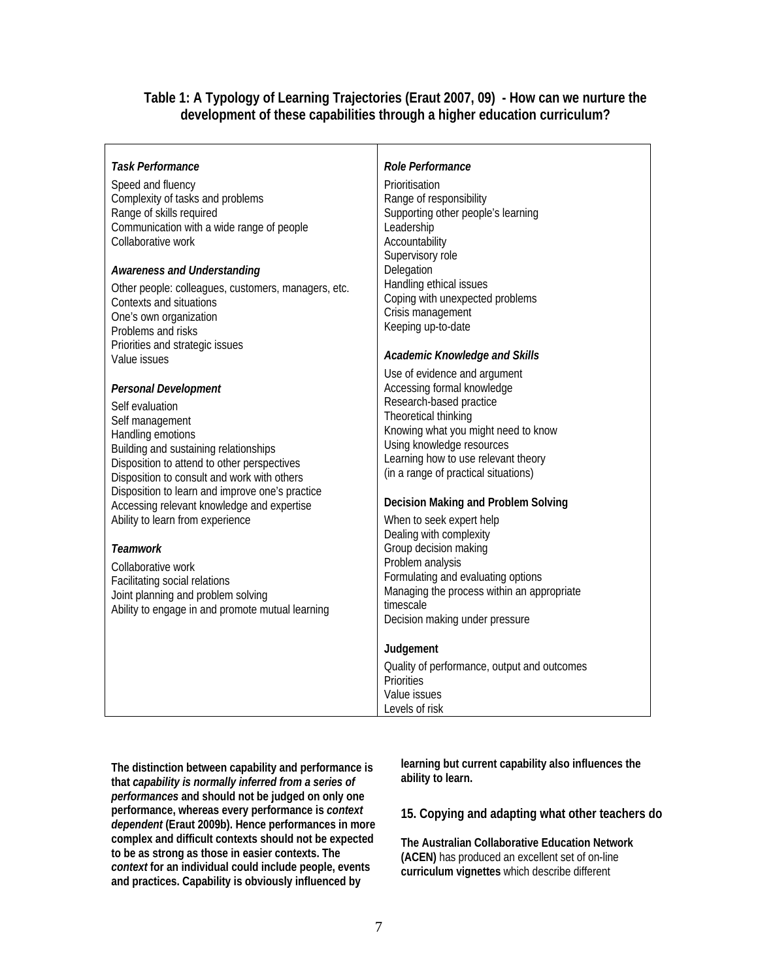# **Table 1: A Typology of Learning Trajectories (Eraut 2007, 09) - How can we nurture the development of these capabilities through a higher education curriculum?**

| <b>Task Performance</b>                             | Role Performance                                          |
|-----------------------------------------------------|-----------------------------------------------------------|
| Speed and fluency                                   | Prioritisation                                            |
| Complexity of tasks and problems                    | Range of responsibility                                   |
| Range of skills required                            | Supporting other people's learning                        |
| Communication with a wide range of people           | Leadership                                                |
| Collaborative work                                  | Accountability                                            |
|                                                     | Supervisory role                                          |
| <b>Awareness and Understanding</b>                  | Delegation                                                |
| Other people: colleagues, customers, managers, etc. | Handling ethical issues                                   |
| Contexts and situations                             | Coping with unexpected problems                           |
| One's own organization                              | Crisis management                                         |
| Problems and risks                                  | Keeping up-to-date                                        |
| Priorities and strategic issues                     |                                                           |
| Value issues                                        | Academic Knowledge and Skills                             |
|                                                     | Use of evidence and argument                              |
| <b>Personal Development</b>                         | Accessing formal knowledge                                |
| Self evaluation                                     | Research-based practice                                   |
| Self management                                     | Theoretical thinking                                      |
| Handling emotions                                   | Knowing what you might need to know                       |
| Building and sustaining relationships               | Using knowledge resources                                 |
| Disposition to attend to other perspectives         | Learning how to use relevant theory                       |
| Disposition to consult and work with others         | (in a range of practical situations)                      |
| Disposition to learn and improve one's practice     |                                                           |
| Accessing relevant knowledge and expertise          | Decision Making and Problem Solving                       |
| Ability to learn from experience                    | When to seek expert help                                  |
|                                                     | Dealing with complexity                                   |
| <b>Teamwork</b>                                     | Group decision making                                     |
| Collaborative work                                  | Problem analysis                                          |
| Facilitating social relations                       | Formulating and evaluating options                        |
| Joint planning and problem solving                  | Managing the process within an appropriate                |
| Ability to engage in and promote mutual learning    | timescale                                                 |
|                                                     | Decision making under pressure                            |
|                                                     | Judgement                                                 |
|                                                     |                                                           |
|                                                     | Quality of performance, output and outcomes<br>Priorities |
|                                                     | Value issues                                              |
|                                                     | Levels of risk                                            |
|                                                     |                                                           |

**The distinction between capability and performance is that** *capability is normally inferred from a series of performances* **and should not be judged on only one performance, whereas every performance is** *context dependent* **(Eraut 2009b). Hence performances in more complex and difficult contexts should not be expected to be as strong as those in easier contexts. The**  *context* **for an individual could include people, events and practices. Capability is obviously influenced by** 

**learning but current capability also influences the ability to learn.** 

**15. Copying and adapting what other teachers do**

**The Australian Collaborative Education Network (ACEN)** has produced an excellent set of on-line **[curriculum vignettes](http://www.acen.edu.au/index.php?option=com_content&view=category&id=62&Itemid=90)** which describe different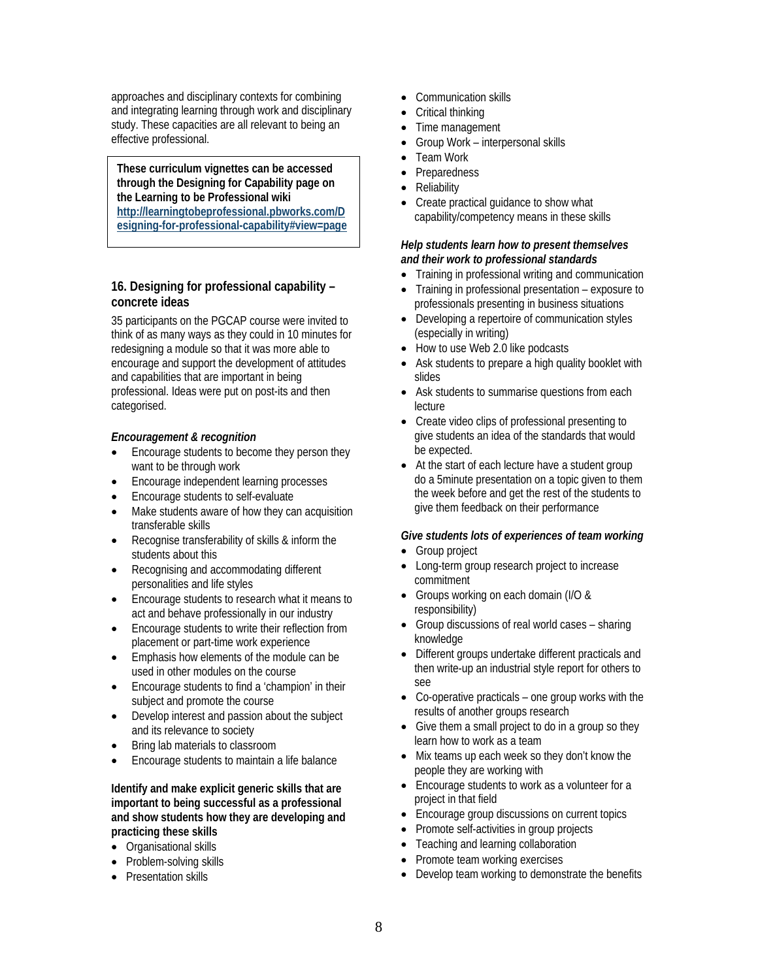approaches and disciplinary contexts for combining and integrating learning through work and disciplinary study. These capacities are all relevant to being an effective professional.

**These curriculum vignettes can be accessed through the Designing for Capability page on the Learning to be Professional wiki [http://learningtobeprofessional.pbworks.com/D](http://learningtobeprofessional.pbworks.com/Designing-for-professional-capability#view=page) [esigning-for-professional-capability#view=page](http://learningtobeprofessional.pbworks.com/Designing-for-professional-capability#view=page)**

# **16. Designing for professional capability – concrete ideas**

35 participants on the PGCAP course were invited to think of as many ways as they could in 10 minutes for redesigning a module so that it was more able to encourage and support the development of attitudes and capabilities that are important in being professional. Ideas were put on post-its and then categorised.

#### *Encouragement & recognition*

- Encourage students to become they person they want to be through work
- Encourage independent learning processes
- Encourage students to self-evaluate
- Make students aware of how they can acquisition transferable skills
- Recognise transferability of skills & inform the students about this
- Recognising and accommodating different personalities and life styles
- Encourage students to research what it means to act and behave professionally in our industry
- Encourage students to write their reflection from placement or part-time work experience
- Emphasis how elements of the module can be used in other modules on the course
- Encourage students to find a 'champion' in their subject and promote the course
- Develop interest and passion about the subject and its relevance to society
- Bring lab materials to classroom
- Encourage students to maintain a life balance

**Identify and make explicit generic skills that are important to being successful as a professional and show students how they are developing and practicing these skills** 

- Organisational skills
- Problem-solving skills
- Presentation skills
- Communication skills
- Critical thinking
- Time management
- Group Work interpersonal skills
- Team Work
- Preparedness
- **Reliability**
- Create practical guidance to show what capability/competency means in these skills

#### *Help students learn how to present themselves and their work to professional standards*

- Training in professional writing and communication
- Training in professional presentation exposure to professionals presenting in business situations
- Developing a repertoire of communication styles (especially in writing)
- How to use Web 2.0 like podcasts
- Ask students to prepare a high quality booklet with slides
- Ask students to summarise questions from each lecture
- Create video clips of professional presenting to give students an idea of the standards that would be expected.
- At the start of each lecture have a student group do a 5minute presentation on a topic given to them the week before and get the rest of the students to give them feedback on their performance

#### *Give students lots of experiences of team working*

- Group project
- Long-term group research project to increase commitment
- Groups working on each domain (I/O & responsibility)
- Group discussions of real world cases sharing knowledge
- Different groups undertake different practicals and then write-up an industrial style report for others to see
- Co-operative practicals one group works with the results of another groups research
- Give them a small project to do in a group so they learn how to work as a team
- Mix teams up each week so they don't know the people they are working with
- Encourage students to work as a volunteer for a project in that field
- Encourage group discussions on current topics
- Promote self-activities in group projects
- Teaching and learning collaboration
- Promote team working exercises
- Develop team working to demonstrate the benefits